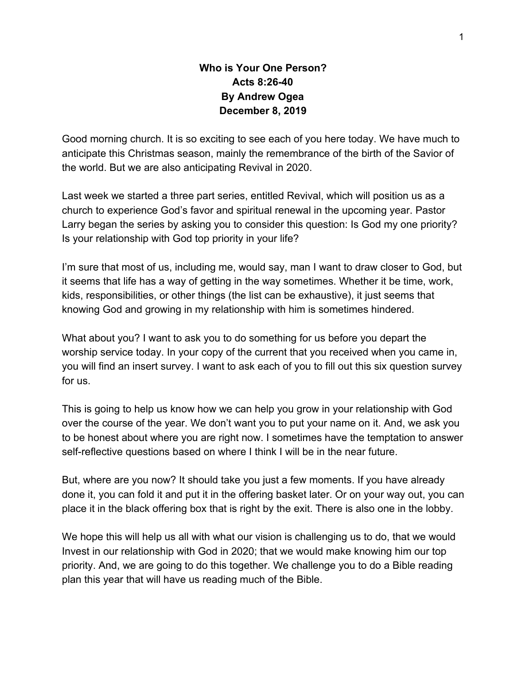#### **Who is Your One Person? Acts 8:26-40 By Andrew Ogea December 8, 2019**

Good morning church. It is so exciting to see each of you here today. We have much to anticipate this Christmas season, mainly the remembrance of the birth of the Savior of the world. But we are also anticipating Revival in 2020.

Last week we started a three part series, entitled Revival, which will position us as a church to experience God's favor and spiritual renewal in the upcoming year. Pastor Larry began the series by asking you to consider this question: Is God my one priority? Is your relationship with God top priority in your life?

I'm sure that most of us, including me, would say, man I want to draw closer to God, but it seems that life has a way of getting in the way sometimes. Whether it be time, work, kids, responsibilities, or other things (the list can be exhaustive), it just seems that knowing God and growing in my relationship with him is sometimes hindered.

What about you? I want to ask you to do something for us before you depart the worship service today. In your copy of the current that you received when you came in, you will find an insert survey. I want to ask each of you to fill out this six question survey for us.

This is going to help us know how we can help you grow in your relationship with God over the course of the year. We don't want you to put your name on it. And, we ask you to be honest about where you are right now. I sometimes have the temptation to answer self-reflective questions based on where I think I will be in the near future.

But, where are you now? It should take you just a few moments. If you have already done it, you can fold it and put it in the offering basket later. Or on your way out, you can place it in the black offering box that is right by the exit. There is also one in the lobby.

We hope this will help us all with what our vision is challenging us to do, that we would Invest in our relationship with God in 2020; that we would make knowing him our top priority. And, we are going to do this together. We challenge you to do a Bible reading plan this year that will have us reading much of the Bible.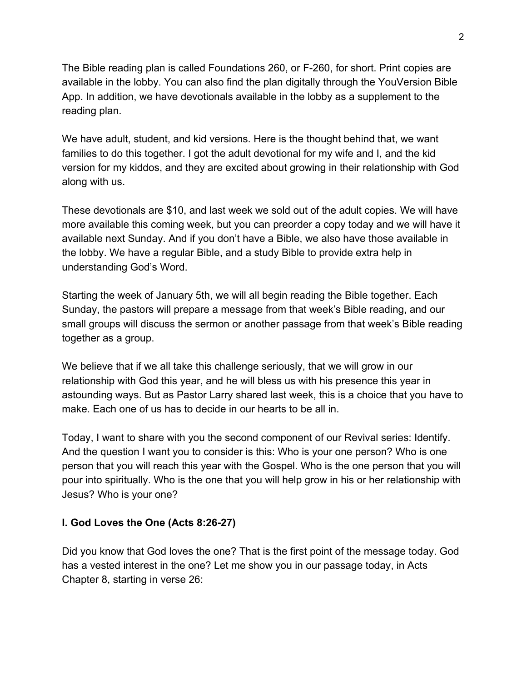The Bible reading plan is called Foundations 260, or F-260, for short. Print copies are available in the lobby. You can also find the plan digitally through the YouVersion Bible App. In addition, we have devotionals available in the lobby as a supplement to the reading plan.

We have adult, student, and kid versions. Here is the thought behind that, we want families to do this together. I got the adult devotional for my wife and I, and the kid version for my kiddos, and they are excited about growing in their relationship with God along with us.

These devotionals are \$10, and last week we sold out of the adult copies. We will have more available this coming week, but you can preorder a copy today and we will have it available next Sunday. And if you don't have a Bible, we also have those available in the lobby. We have a regular Bible, and a study Bible to provide extra help in understanding God's Word.

Starting the week of January 5th, we will all begin reading the Bible together. Each Sunday, the pastors will prepare a message from that week's Bible reading, and our small groups will discuss the sermon or another passage from that week's Bible reading together as a group.

We believe that if we all take this challenge seriously, that we will grow in our relationship with God this year, and he will bless us with his presence this year in astounding ways. But as Pastor Larry shared last week, this is a choice that you have to make. Each one of us has to decide in our hearts to be all in.

Today, I want to share with you the second component of our Revival series: Identify. And the question I want you to consider is this: Who is your one person? Who is one person that you will reach this year with the Gospel. Who is the one person that you will pour into spiritually. Who is the one that you will help grow in his or her relationship with Jesus? Who is your one?

#### **I. God Loves the One (Acts 8:26-27)**

Did you know that God loves the one? That is the first point of the message today. God has a vested interest in the one? Let me show you in our passage today, in Acts Chapter 8, starting in verse 26: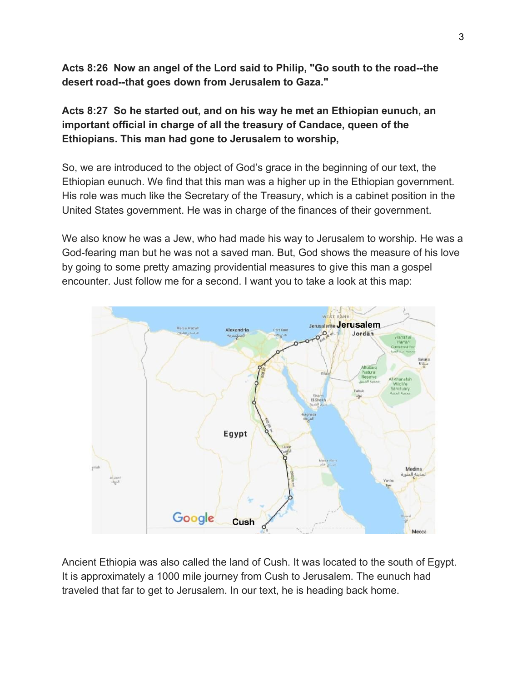**Acts 8:26 Now an angel of the Lord said to Philip, "Go south to the road--the desert road--that goes down from Jerusalem to Gaza."**

**Acts 8:27 So he started out, and on his way he met an Ethiopian eunuch, an important official in charge of all the treasury of Candace, queen of the Ethiopians. This man had gone to Jerusalem to worship,**

So, we are introduced to the object of God's grace in the beginning of our text, the Ethiopian eunuch. We find that this man was a higher up in the Ethiopian government. His role was much like the Secretary of the Treasury, which is a cabinet position in the United States government. He was in charge of the finances of their government.

We also know he was a Jew, who had made his way to Jerusalem to worship. He was a God-fearing man but he was not a saved man. But, God shows the measure of his love by going to some pretty amazing providential measures to give this man a gospel encounter. Just follow me for a second. I want you to take a look at this map:



Ancient Ethiopia was also called the land of Cush. It was located to the south of Egypt. It is approximately a 1000 mile journey from Cush to Jerusalem. The eunuch had traveled that far to get to Jerusalem. In our text, he is heading back home.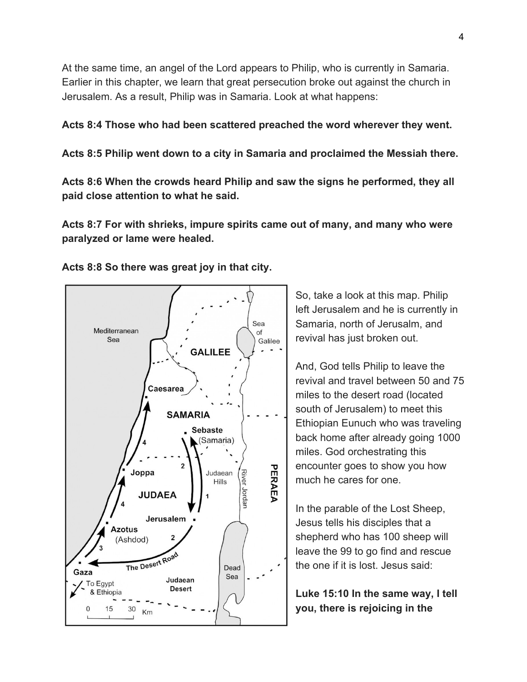At the same time, an angel of the Lord appears to Philip, who is currently in Samaria. Earlier in this chapter, we learn that great persecution broke out against the church in Jerusalem. As a result, Philip was in Samaria. Look at what happens:

**Acts 8:4 Those who had been scattered preached the word wherever they went.**

**Acts 8:5 Philip went down to a city in Samaria and proclaimed the Messiah there.**

**Acts 8:6 When the crowds heard Philip and saw the signs he performed, they all paid close attention to what he said.**

**Acts 8:7 For with shrieks, impure spirits came out of many, and many who were paralyzed or lame were healed.**



**Acts 8:8 So there was great joy in that city.**

So, take a look at this map. Philip left Jerusalem and he is currently in Samaria, north of Jerusalm, and revival has just broken out.

And, God tells Philip to leave the revival and travel between 50 and 75 miles to the desert road (located south of Jerusalem) to meet this Ethiopian Eunuch who was traveling back home after already going 1000 miles. God orchestrating this encounter goes to show you how much he cares for one.

In the parable of the Lost Sheep, Jesus tells his disciples that a shepherd who has 100 sheep will leave the 99 to go find and rescue the one if it is lost. Jesus said:

**Luke 15:10 In the same way, I tell you, there is rejoicing in the**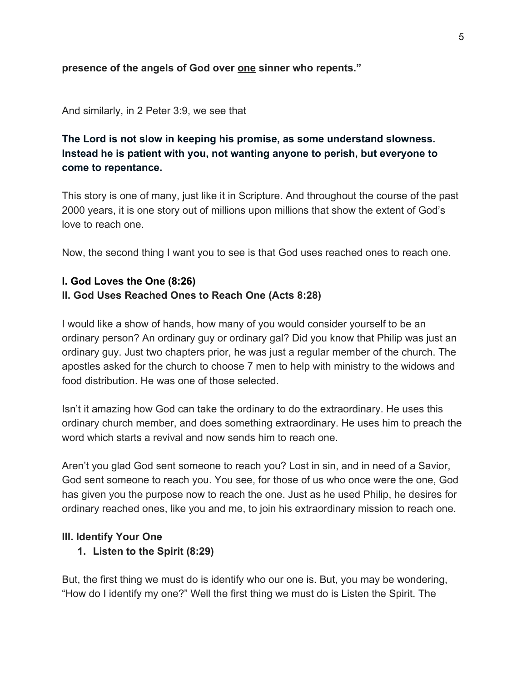#### **presence of the angels of God over one sinner who repents."**

#### And similarly, in 2 Peter 3:9, we see that

#### **The Lord is not slow in keeping his promise, as some understand slowness. Instead he is patient with you, not wanting anyone to perish, but everyone to come to repentance.**

This story is one of many, just like it in Scripture. And throughout the course of the past 2000 years, it is one story out of millions upon millions that show the extent of God's love to reach one.

Now, the second thing I want you to see is that God uses reached ones to reach one.

## **I. God Loves the One (8:26) II. God Uses Reached Ones to Reach One (Acts 8:28)**

I would like a show of hands, how many of you would consider yourself to be an ordinary person? An ordinary guy or ordinary gal? Did you know that Philip was just an ordinary guy. Just two chapters prior, he was just a regular member of the church. The apostles asked for the church to choose 7 men to help with ministry to the widows and food distribution. He was one of those selected.

Isn't it amazing how God can take the ordinary to do the extraordinary. He uses this ordinary church member, and does something extraordinary. He uses him to preach the word which starts a revival and now sends him to reach one.

Aren't you glad God sent someone to reach you? Lost in sin, and in need of a Savior, God sent someone to reach you. You see, for those of us who once were the one, God has given you the purpose now to reach the one. Just as he used Philip, he desires for ordinary reached ones, like you and me, to join his extraordinary mission to reach one.

#### **III. Identify Your One**

#### **1. Listen to the Spirit (8:29)**

But, the first thing we must do is identify who our one is. But, you may be wondering, "How do I identify my one?" Well the first thing we must do is Listen the Spirit. The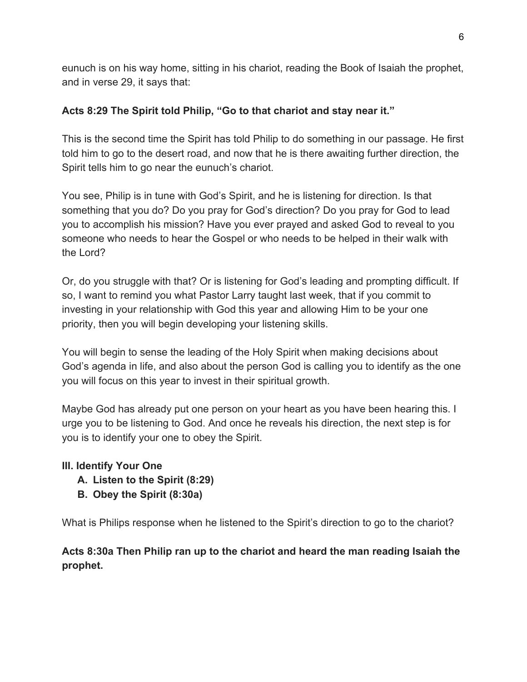eunuch is on his way home, sitting in his chariot, reading the Book of Isaiah the prophet, and in verse 29, it says that:

## **Acts 8:29 The Spirit told Philip, "Go to that chariot and stay near it."**

This is the second time the Spirit has told Philip to do something in our passage. He first told him to go to the desert road, and now that he is there awaiting further direction, the Spirit tells him to go near the eunuch's chariot.

You see, Philip is in tune with God's Spirit, and he is listening for direction. Is that something that you do? Do you pray for God's direction? Do you pray for God to lead you to accomplish his mission? Have you ever prayed and asked God to reveal to you someone who needs to hear the Gospel or who needs to be helped in their walk with the Lord?

Or, do you struggle with that? Or is listening for God's leading and prompting difficult. If so, I want to remind you what Pastor Larry taught last week, that if you commit to investing in your relationship with God this year and allowing Him to be your one priority, then you will begin developing your listening skills.

You will begin to sense the leading of the Holy Spirit when making decisions about God's agenda in life, and also about the person God is calling you to identify as the one you will focus on this year to invest in their spiritual growth.

Maybe God has already put one person on your heart as you have been hearing this. I urge you to be listening to God. And once he reveals his direction, the next step is for you is to identify your one to obey the Spirit.

## **III. Identify Your One**

- **A. Listen to the Spirit (8:29)**
- **B. Obey the Spirit (8:30a)**

What is Philips response when he listened to the Spirit's direction to go to the chariot?

# **Acts 8:30a Then Philip ran up to the chariot and heard the man reading Isaiah the prophet.**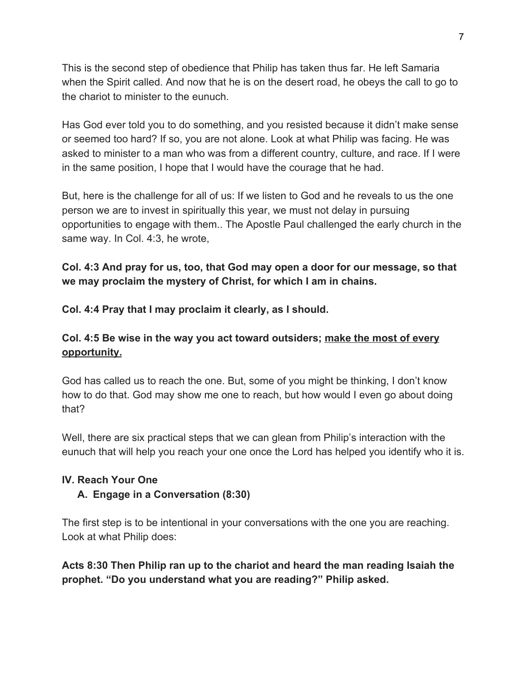This is the second step of obedience that Philip has taken thus far. He left Samaria when the Spirit called. And now that he is on the desert road, he obeys the call to go to the chariot to minister to the eunuch.

Has God ever told you to do something, and you resisted because it didn't make sense or seemed too hard? If so, you are not alone. Look at what Philip was facing. He was asked to minister to a man who was from a different country, culture, and race. If I were in the same position, I hope that I would have the courage that he had.

But, here is the challenge for all of us: If we listen to God and he reveals to us the one person we are to invest in spiritually this year, we must not delay in pursuing opportunities to engage with them.. The Apostle Paul challenged the early church in the same way. In Col. 4:3, he wrote,

**Col. 4:3 And pray for us, too, that God may open a door for our message, so that we may proclaim the mystery of Christ, for which I am in chains.**

**Col. 4:4 Pray that I may proclaim it clearly, as I should.**

## **Col. 4:5 Be wise in the way you act toward outsiders; make the most of every opportunity.**

God has called us to reach the one. But, some of you might be thinking, I don't know how to do that. God may show me one to reach, but how would I even go about doing that?

Well, there are six practical steps that we can glean from Philip's interaction with the eunuch that will help you reach your one once the Lord has helped you identify who it is.

#### **IV. Reach Your One**

## **A. Engage in a Conversation (8:30)**

The first step is to be intentional in your conversations with the one you are reaching. Look at what Philip does:

**Acts 8:30 Then Philip ran up to the chariot and heard the man reading Isaiah the prophet. "Do you understand what you are reading?" Philip asked.**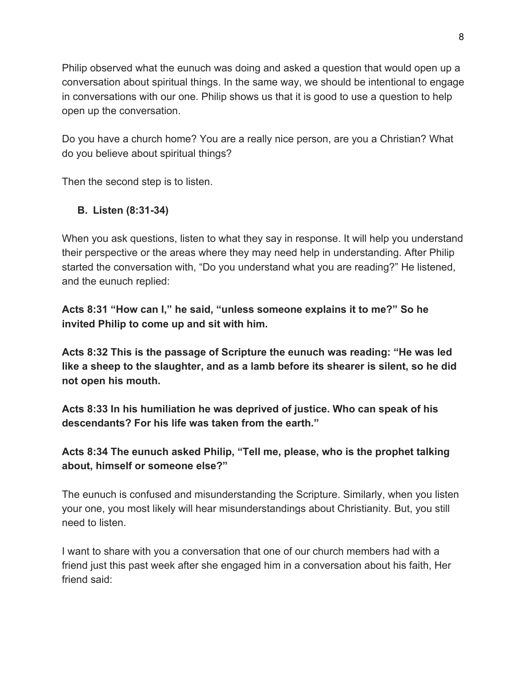Philip observed what the eunuch was doing and asked a question that would open up a conversation about spiritual things. In the same way, we should be intentional to engage in conversations with our one. Philip shows us that it is good to use a question to help open up the conversation.

Do you have a church home? You are a really nice person, are you a Christian? What do you believe about spiritual things?

Then the second step is to listen.

# **B. Listen (8:31-34)**

When you ask questions, listen to what they say in response. It will help you understand their perspective or the areas where they may need help in understanding. After Philip started the conversation with, "Do you understand what you are reading?" He listened, and the eunuch replied:

**Acts 8:31 "How can I," he said, "unless someone explains it to me?" So he invited Philip to come up and sit with him.**

**Acts 8:32 This is the passage of Scripture the eunuch was reading: "He was led like a sheep to the slaughter, and as a lamb before its shearer is silent, so he did not open his mouth.**

**Acts 8:33 In his humiliation he was deprived of justice. Who can speak of his descendants? For his life was taken from the earth."**

**Acts 8:34 The eunuch asked Philip, "Tell me, please, who is the prophet talking about, himself or someone else?"**

The eunuch is confused and misunderstanding the Scripture. Similarly, when you listen your one, you most likely will hear misunderstandings about Christianity. But, you still need to listen.

I want to share with you a conversation that one of our church members had with a friend just this past week after she engaged him in a conversation about his faith, Her friend said: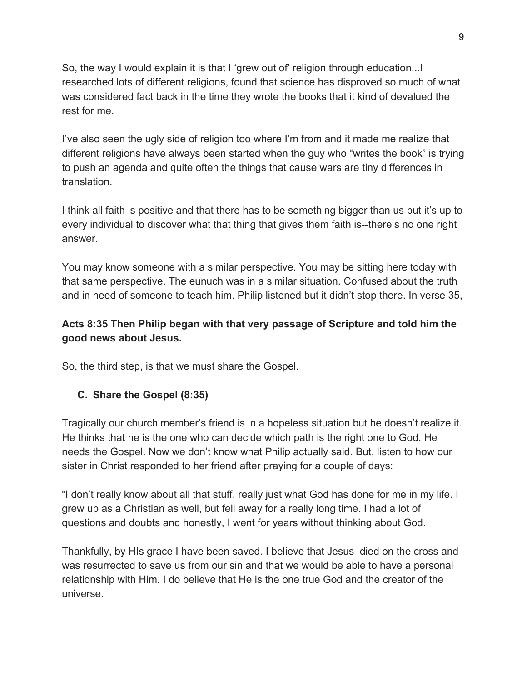So, the way I would explain it is that I 'grew out of' religion through education...I researched lots of different religions, found that science has disproved so much of what was considered fact back in the time they wrote the books that it kind of devalued the rest for me.

I've also seen the ugly side of religion too where I'm from and it made me realize that different religions have always been started when the guy who "writes the book" is trying to push an agenda and quite often the things that cause wars are tiny differences in translation.

I think all faith is positive and that there has to be something bigger than us but it's up to every individual to discover what that thing that gives them faith is--there's no one right answer.

You may know someone with a similar perspective. You may be sitting here today with that same perspective. The eunuch was in a similar situation. Confused about the truth and in need of someone to teach him. Philip listened but it didn't stop there. In verse 35,

# **Acts 8:35 Then Philip began with that very passage of Scripture and told him the good news about Jesus.**

So, the third step, is that we must share the Gospel.

## **C. Share the Gospel (8:35)**

Tragically our church member's friend is in a hopeless situation but he doesn't realize it. He thinks that he is the one who can decide which path is the right one to God. He needs the Gospel. Now we don't know what Philip actually said. But, listen to how our sister in Christ responded to her friend after praying for a couple of days:

"I don't really know about all that stuff, really just what God has done for me in my life. I grew up as a Christian as well, but fell away for a really long time. I had a lot of questions and doubts and honestly, I went for years without thinking about God.

Thankfully, by HIs grace I have been saved. I believe that Jesus died on the cross and was resurrected to save us from our sin and that we would be able to have a personal relationship with Him. I do believe that He is the one true God and the creator of the universe.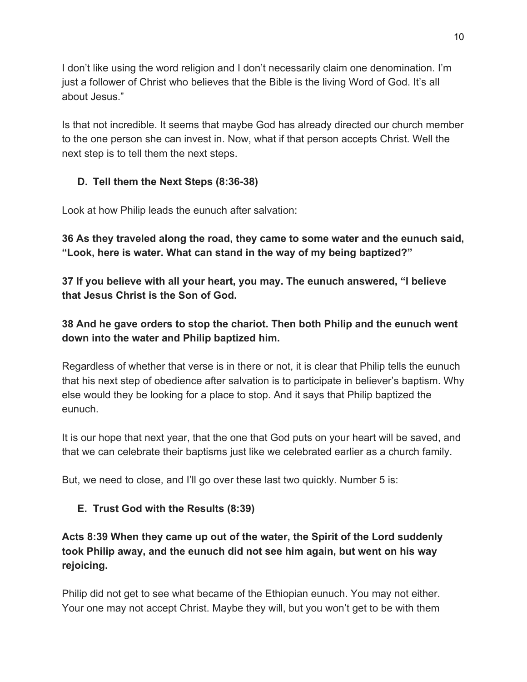I don't like using the word religion and I don't necessarily claim one denomination. I'm just a follower of Christ who believes that the Bible is the living Word of God. It's all about Jesus."

Is that not incredible. It seems that maybe God has already directed our church member to the one person she can invest in. Now, what if that person accepts Christ. Well the next step is to tell them the next steps.

# **D. Tell them the Next Steps (8:36-38)**

Look at how Philip leads the eunuch after salvation:

**36 As they traveled along the road, they came to some water and the eunuch said, "Look, here is water. What can stand in the way of my being baptized?"**

**37 If you believe with all your heart, you may. The eunuch answered, "I believe that Jesus Christ is the Son of God.**

**38 And he gave orders to stop the chariot. Then both Philip and the eunuch went down into the water and Philip baptized him.**

Regardless of whether that verse is in there or not, it is clear that Philip tells the eunuch that his next step of obedience after salvation is to participate in believer's baptism. Why else would they be looking for a place to stop. And it says that Philip baptized the eunuch.

It is our hope that next year, that the one that God puts on your heart will be saved, and that we can celebrate their baptisms just like we celebrated earlier as a church family.

But, we need to close, and I'll go over these last two quickly. Number 5 is:

## **E. Trust God with the Results (8:39)**

**Acts 8:39 When they came up out of the water, the Spirit of the Lord suddenly took Philip away, and the eunuch did not see him again, but went on his way rejoicing.**

Philip did not get to see what became of the Ethiopian eunuch. You may not either. Your one may not accept Christ. Maybe they will, but you won't get to be with them